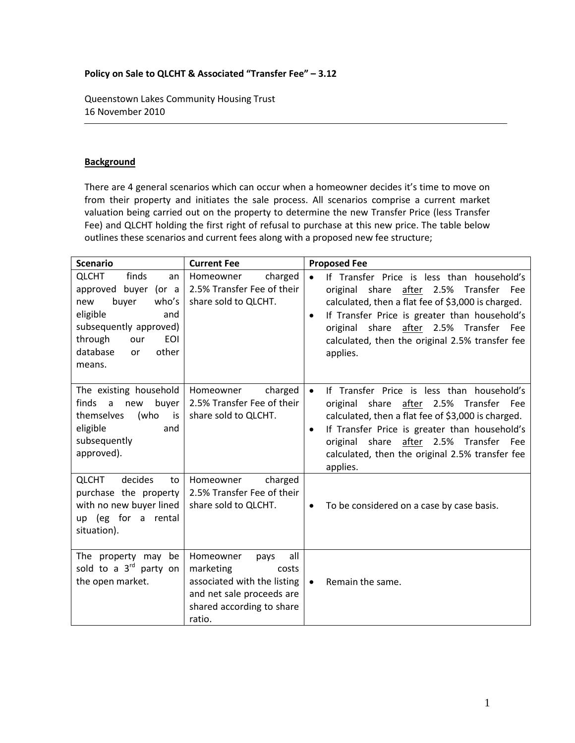## **Policy on Sale to QLCHT & Associated "Transfer Fee" – 3.12**

Queenstown Lakes Community Housing Trust 16 November 2010

## **Background**

There are 4 general scenarios which can occur when a homeowner decides it's time to move on from their property and initiates the sale process. All scenarios comprise a current market valuation being carried out on the property to determine the new Transfer Price (less Transfer Fee) and QLCHT holding the first right of refusal to purchase at this new price. The table below outlines these scenarios and current fees along with a proposed new fee structure;

| <b>Scenario</b>                                                                                                                                                                                       | <b>Current Fee</b>                                                                                                                                | <b>Proposed Fee</b>                                                                                                                                                                                                                                                                                                         |
|-------------------------------------------------------------------------------------------------------------------------------------------------------------------------------------------------------|---------------------------------------------------------------------------------------------------------------------------------------------------|-----------------------------------------------------------------------------------------------------------------------------------------------------------------------------------------------------------------------------------------------------------------------------------------------------------------------------|
| finds<br><b>QLCHT</b><br>an<br>approved buyer (or a<br>buyer<br>who's<br>new<br>eligible<br>and<br>subsequently approved)<br><b>EOI</b><br>through<br>our<br>database<br>other<br><b>or</b><br>means. | charged<br>Homeowner<br>2.5% Transfer Fee of their<br>share sold to QLCHT.                                                                        | If Transfer Price is less than household's<br>original share after 2.5% Transfer Fee<br>calculated, then a flat fee of \$3,000 is charged.<br>If Transfer Price is greater than household's<br>$\bullet$<br>original share after 2.5% Transfer<br><b>Fee</b><br>calculated, then the original 2.5% transfer fee<br>applies. |
| The existing household<br>finds<br>buyer<br>$\mathsf{a}$<br>new<br>themselves<br>(who<br>is<br>eligible<br>and<br>subsequently<br>approved).                                                          | charged<br>Homeowner<br>2.5% Transfer Fee of their<br>share sold to QLCHT.                                                                        | If Transfer Price is less than household's<br>$\bullet$<br>original share after 2.5% Transfer Fee<br>calculated, then a flat fee of \$3,000 is charged.<br>If Transfer Price is greater than household's<br>original share after 2.5% Transfer Fee<br>calculated, then the original 2.5% transfer fee<br>applies.           |
| <b>QLCHT</b><br>decides<br>to<br>purchase the property<br>with no new buyer lined<br>up (eg for a rental<br>situation).                                                                               | charged<br>Homeowner<br>2.5% Transfer Fee of their<br>share sold to QLCHT.                                                                        | To be considered on a case by case basis.<br>$\bullet$                                                                                                                                                                                                                                                                      |
| The property may be<br>sold to a 3 <sup>rd</sup> party on<br>the open market.                                                                                                                         | Homeowner<br>all<br>pays<br>marketing<br>costs<br>associated with the listing<br>and net sale proceeds are<br>shared according to share<br>ratio. | Remain the same.<br>$\bullet$                                                                                                                                                                                                                                                                                               |